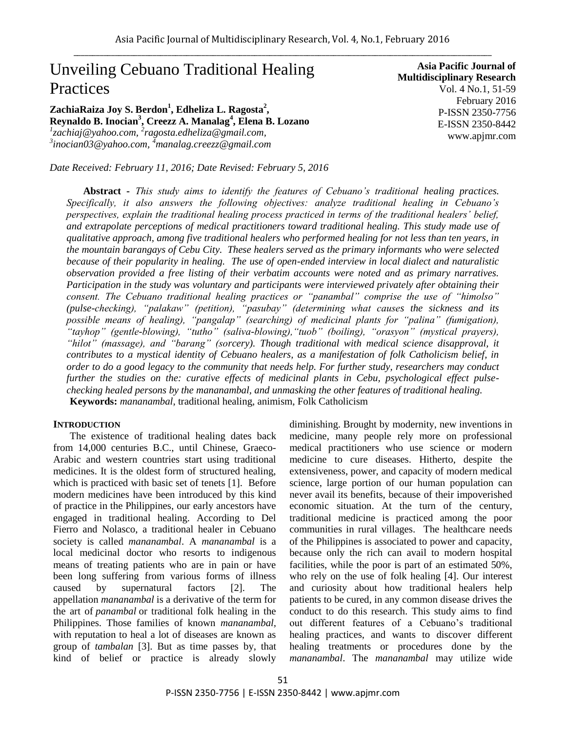# Unveiling Cebuano Traditional Healing Practices

**ZachiaRaiza Joy S. Berdon<sup>1</sup> , Edheliza L. Ragosta<sup>2</sup> , Reynaldo B. Inocian<sup>3</sup> , Creezz A. Manalag<sup>4</sup> , Elena B. Lozano** *1 [zachiaj@yahoo.com,](mailto:zachiaj@yahoo.com) 2 [ragosta.edheliza@gmail.com,](mailto:ragosta.edheliza@gmail.com) 3 [inocian03@yahoo.com,](mailto:inocian03@yahoo.com) <sup>4</sup>manalag.creezz@gmail.com*

**Asia Pacific Journal of Multidisciplinary Research** Vol. 4 No.1, 51-59 February 2016 P-ISSN 2350-7756 E-ISSN 2350-8442 www.apjmr.com

*Date Received: February 11, 2016; Date Revised: February 5, 2016*

**Abstract -** *This study aims to identify the features of Cebuano's traditional healing practices. Specifically, it also answers the following objectives: analyze traditional healing in Cebuano's perspectives, explain the traditional healing process practiced in terms of the traditional healers' belief, and extrapolate perceptions of medical practitioners toward traditional healing. This study made use of qualitative approach, among five traditional healers who performed healing for not less than ten years, in the mountain barangays of Cebu City. These healers served as the primary informants who were selected because of their popularity in healing. The use of open-ended interview in local dialect and naturalistic observation provided a free listing of their verbatim accounts were noted and as primary narratives. Participation in the study was voluntary and participants were interviewed privately after obtaining their consent. The Cebuano traditional healing practices or "panambal" comprise the use of "himolso" (pulse-checking), "palakaw" (petition), "pasubay" (determining what causes the sickness and its possible means of healing), "pangalap" (searching) of medicinal plants for "palina" (fumigation), "tayhop" (gentle-blowing), "tutho" (saliva-blowing),"tuob" (boiling), "orasyon" (mystical prayers), "hilot" (massage), and "barang" (sorcery). Though traditional with medical science disapproval, it contributes to a mystical identity of Cebuano healers, as a manifestation of folk Catholicism belief, in order to do a good legacy to the community that needs help. For further study, researchers may conduct further the studies on the: curative effects of medicinal plants in Cebu, psychological effect pulsechecking healed persons by the mananambal, and unmasking the other features of traditional healing.*

**Keywords:** *mananambal*, traditional healing, animism, Folk Catholicism

# **INTRODUCTION**

The existence of traditional healing dates back from 14,000 centuries B.C., until Chinese, Graeco-Arabic and western countries start using traditional medicines. It is the oldest form of structured healing, which is practiced with basic set of tenets [1]. Before modern medicines have been introduced by this kind of practice in the Philippines, our early ancestors have engaged in traditional healing. According to Del Fierro and Nolasco, a traditional healer in Cebuano society is called *mananambal*. A *mananambal* is a local medicinal doctor who resorts to indigenous means of treating patients who are in pain or have been long suffering from various forms of illness caused by supernatural factors [2]. The appellation *mananambal* is a derivative of the term for the art of *panambal* or traditional folk healing in the [Philippines.](https://en.wikipedia.org/wiki/Philippines) Those families of known *mananambal,*  with reputation to heal a lot of diseases are known as group of *tambalan* [3]. But as time passes by, that kind of belief or practice is already slowly diminishing. Brought by modernity, new inventions in medicine, many people rely more on professional medical practitioners who use science or modern medicine to cure diseases. Hitherto, despite the extensiveness, power, and capacity of modern medical science, large portion of our human population can never avail its benefits, because of their impoverished economic situation. At the turn of the century, traditional medicine is practiced among the poor communities in rural villages. The healthcare needs of the Philippines is associated to power and capacity, because only the rich can avail to modern hospital facilities, while the poor is part of an estimated 50%, who rely on the use of folk healing [4]. Our interest and curiosity about how traditional healers help patients to be cured, in any common disease drives the conduct to do this research. This study aims to find out different features of a Cebuano"s traditional healing practices, and wants to discover different healing treatments or procedures done by the *mananambal*. The *mananambal* may utilize wide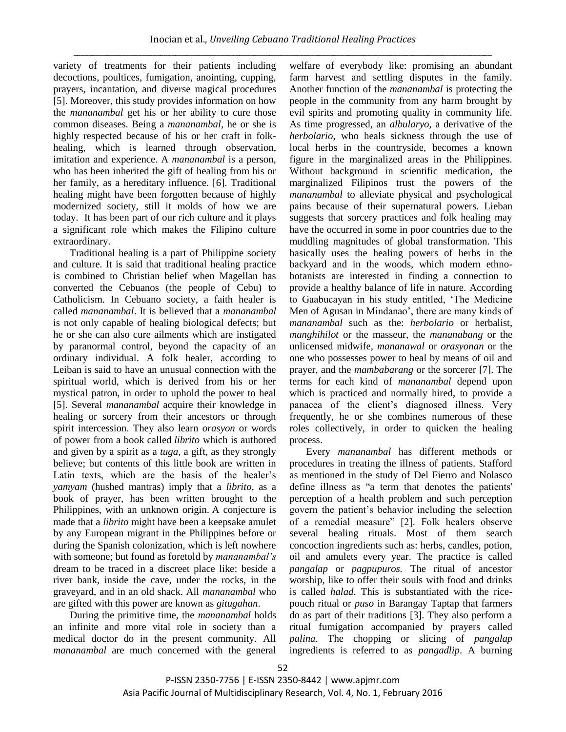variety of treatments for their patients including decoctions, poultices, fumigation, anointing, cupping, prayers, incantation, and diverse magical procedures [5]. Moreover, this study provides information on how the *mananambal* get his or her ability to cure those common diseases. Being a *mananambal*, he or she is highly respected because of his or her craft in folkhealing, which is learned through observation, imitation and experience. A *mananambal* is a person, who has been inherited the gift of healing from his or her family, as a hereditary influence. [6]. Traditional healing might have been forgotten because of highly modernized society, still it molds of how we are today. It has been part of our rich culture and it plays a significant role which makes the Filipino culture extraordinary.

Traditional healing is a part of Philippine society and culture. It is said that traditional healing practice is combined to Christian belief when Magellan has converted the Cebuanos (the people of Cebu) to Catholicism. In Cebuano society, a faith healer is called *mananambal*. It is believed that a *mananambal* is not only capable of healing biological defects; but he or she can also cure ailments which are instigated by paranormal control, beyond the capacity of an ordinary individual. A folk healer, according to Leiban is said to have an unusual connection with the spiritual world, which is derived from his or her mystical patron, in order to uphold the power to heal [5]. Several *mananambal* acquire their knowledge in healing or sorcery from their ancestors or through spirit intercession. They also learn *orasyon* or words of power from a book called *librito* which is authored and given by a spirit as a *tuga,* a gift, as they strongly believe; but contents of this little book are written in Latin texts, which are the basis of the healer's *yamyam* (hushed mantras) imply that a *librito*, as a book of prayer, has been written brought to the Philippines, with an unknown origin. A conjecture is made that a *librito* might have been a keepsake amulet by any European migrant in the Philippines before or during the Spanish colonization, which is left nowhere with someone; but found as foretold by *mananambal's* dream to be traced in a discreet place like: beside a river bank, inside the cave, under the rocks, in the graveyard, and in an old shack. All *mananambal* who are gifted with this power are known as *gitugahan*.

During the primitive time, the *mananambal* holds an infinite and more vital role in society than a medical doctor do in the present community. All *mananambal* are much concerned with the general

welfare of everybody like: promising an abundant farm harvest and settling disputes in the family. Another function of the *mananambal* is protecting the people in the community from any harm brought by evil spirits and promoting quality in community life. As time progressed, an *albularyo*, a derivative of the *herbolario*, who heals sickness through the use of local herbs in the countryside, becomes a known figure in the marginalized areas in the Philippines. Without background in scientific medication, the marginalized Filipinos trust the powers of the *mananambal* to alleviate physical and psychological pains because of their supernatural powers. Lieban suggests that sorcery practices and folk healing may have the occurred in some in poor countries due to the muddling magnitudes of global transformation. This basically uses the healing powers of herbs in the backyard and in the woods, which modern ethnobotanists are interested in finding a connection to provide a healthy balance of life in nature. According to Gaabucayan in his study entitled, "The Medicine Men of Agusan in Mindanao', there are many kinds of *mananambal* such as the: *herbolario* or herbalist, *manghihilot* or the masseur, the *mananabang* or the unlicensed midwife, *mananawal* or *orasyonan* or the one who possesses power to heal by means of oil and prayer, and the *mambabarang* or the sorcerer [7]. The terms for each kind of *mananambal* depend upon which is practiced and normally hired, to provide a panacea of the client"s diagnosed illness. Very frequently, he or she combines numerous of these roles collectively, in order to quicken the healing process.

Every *mananambal* has different methods or procedures in treating the illness of patients. Stafford as mentioned in the study of Del Fierro and Nolasco define illness as "a term that denotes the patients' perception of a health problem and such perception govern the patient"s behavior including the selection of a remedial measure" [2]. Folk healers observe several healing rituals. Most of them search concoction ingredients such as: herbs, candles, potion, oil and amulets every year. The practice is called *pangalap* or *pagpupuros.* The ritual of ancestor worship, like to offer their souls with food and drinks is called *halad*. This is substantiated with the ricepouch ritual or *puso* in Barangay Taptap that farmers do as part of their traditions [3]. They also perform a ritual fumigation accompanied by prayers called *palina*. The chopping or slicing of *pangalap* ingredients is referred to as *pangadlip*. A burning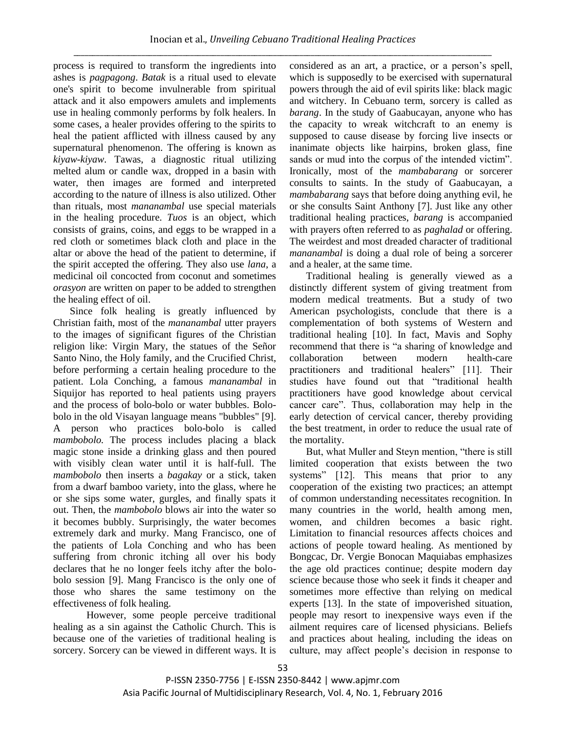process is required to transform the ingredients into ashes is *pagpagong*. *Batak* is a ritual used to elevate one's spirit to become invulnerable from spiritual attack and it also empowers amulets and implements use in healing commonly performs by folk healers. In some cases, a healer provides offering to the spirits to heal the patient afflicted with illness caused by any supernatural phenomenon. The offering is known as *kiyaw-kiyaw*. Tawas, a diagnostic ritual utilizing melted alum or candle wax, dropped in a basin with water, then images are formed and interpreted according to the nature of illness is also utilized. Other than rituals, most *mananambal* use special materials in the healing procedure. *Tuos* is an object, which consists of grains, coins, and eggs to be wrapped in a red cloth or sometimes black cloth and place in the altar or above the head of the patient to determine, if the spirit accepted the offering. They also use *lana*, a medicinal oil concocted from coconut and sometimes *orasyon* are written on paper to be added to strengthen the healing effect of oil.

Since folk healing is greatly influenced by Christian faith, most of the *mananambal* utter prayers to the images of significant figures of the Christian religion like: Virgin Mary, the statues of the Señor Santo Nino, the Holy family, and the Crucified Christ, before performing a certain healing procedure to the patient. Lola Conching, a famous *mananambal* in Siquijor has reported to heal patients using prayers and the process of bolo-bolo or water bubbles. Bolobolo in the old Visayan language means "bubbles" [9]. A person who practices bolo-bolo is called *mambobolo.* The process includes placing a black magic stone inside a drinking glass and then poured with visibly clean water until it is half-full. The *mambobolo* then inserts a *bagakay* or a stick, taken from a dwarf bamboo variety, into the glass, where he or she sips some water, gurgles, and finally spats it out. Then, the *mambobolo* blows air into the water so it becomes bubbly. Surprisingly, the water becomes extremely dark and murky. Mang Francisco, one of the patients of Lola Conching and who has been suffering from chronic itching all over his body declares that he no longer feels itchy after the bolobolo session [9]. Mang Francisco is the only one of those who shares the same testimony on the effectiveness of folk healing.

However, some people perceive traditional healing as a sin against the Catholic Church. This is because one of the varieties of traditional healing is sorcery. Sorcery can be viewed in different ways. It is considered as an art, a practice, or a person"s spell, which is supposedly to be exercised with supernatural powers through the aid of evil spirits like: black magic and witchery. In Cebuano term, sorcery is called as *barang*. In the study of Gaabucayan, anyone who has the capacity to wreak witchcraft to an enemy is supposed to cause disease by forcing live insects or inanimate objects like hairpins, broken glass, fine sands or mud into the corpus of the intended victim". Ironically, most of the *mambabarang* or sorcerer consults to saints. In the study of Gaabucayan, a *mambabarang* says that before doing anything evil, he or she consults Saint Anthony [7]. Just like any other traditional healing practices, *barang* is accompanied with prayers often referred to as *paghalad* or offering. The weirdest and most dreaded character of traditional *mananambal* is doing a dual role of being a sorcerer and a healer, at the same time.

Traditional healing is generally viewed as a distinctly different system of giving treatment from modern medical treatments. But a study of two American psychologists, conclude that there is a complementation of both systems of Western and traditional healing [10]. In fact, Mavis and Sophy recommend that there is "a sharing of knowledge and collaboration between modern health-care practitioners and traditional healers" [11]. Their studies have found out that "traditional health practitioners have good knowledge about cervical cancer care". Thus, collaboration may help in the early detection of cervical cancer, thereby providing the best treatment, in order to reduce the usual rate of the mortality.

But, what Muller and Steyn mention, "there is still limited cooperation that exists between the two systems" [12]. This means that prior to any cooperation of the existing two practices; an attempt of common understanding necessitates recognition. In many countries in the world, health among men, women, and children becomes a basic right. Limitation to financial resources affects choices and actions of people toward healing. As mentioned by Bongcac, Dr. Vergie Bonocan Maquiabas emphasizes the age old practices continue; despite modern day science because those who seek it finds it cheaper and sometimes more effective than relying on medical experts [13]. In the state of impoverished situation, people may resort to inexpensive ways even if the ailment requires care of licensed physicians. Beliefs and practices about healing, including the ideas on culture, may affect people"s decision in response to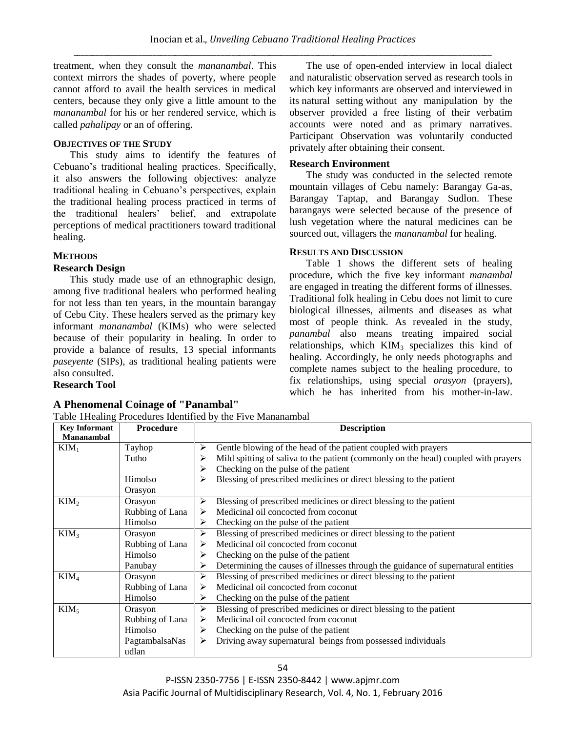treatment, when they consult the *mananambal*. This context mirrors the shades of poverty, where people cannot afford to avail the health services in medical centers, because they only give a little amount to the *mananambal* for his or her rendered service, which is called *pahalipay* or an of offering.

# **OBJECTIVES OF THE STUDY**

This study aims to identify the features of Cebuano"s traditional healing practices. Specifically, it also answers the following objectives: analyze traditional healing in Cebuano"s perspectives, explain the traditional healing process practiced in terms of the traditional healers" belief, and extrapolate perceptions of medical practitioners toward traditional healing.

# **METHODS**

## **Research Design**

This study made use of an ethnographic design, among five traditional healers who performed healing for not less than ten years, in the mountain barangay of Cebu City. These healers served as the primary key informant *mananambal* (KIMs) who were selected because of their popularity in healing. In order to provide a balance of results, 13 special informants *paseyente* (SIPs), as traditional healing patients were also consulted.

Table 1Healing Procedures Identified by the Five Mananambal

## **Research Tool**

# **A Phenomenal Coinage of "Panambal"**

\_\_\_\_\_\_\_\_\_\_\_\_\_\_\_\_\_\_\_\_\_\_\_\_\_\_\_\_\_\_\_\_\_\_\_\_\_\_\_\_\_\_\_\_\_\_\_\_\_\_\_\_\_\_\_\_\_\_\_\_\_\_\_\_\_\_\_\_\_\_\_\_\_\_\_\_\_\_\_\_\_\_\_\_\_\_\_\_\_\_\_\_\_\_\_\_\_\_\_\_\_\_\_\_\_\_\_\_\_\_\_ The use of open-ended interview in local dialect and naturalistic observation served as research tools in which key informants are observed and interviewed in its natural setting without any manipulation by the observer provided a free listing of their verbatim accounts were noted and as primary narratives. Participant Observation was voluntarily conducted privately after obtaining their consent.

# **Research Environment**

The study was conducted in the selected remote mountain villages of Cebu namely: Barangay Ga-as, Barangay Taptap, and Barangay Sudlon. These barangays were selected because of the presence of lush vegetation where the natural medicines can be sourced out, villagers the *mananambal* for healing.

## **RESULTS AND DISCUSSION**

Table 1 shows the different sets of healing procedure, which the five key informant *manambal* are engaged in treating the different forms of illnesses. Traditional folk healing in Cebu does not limit to cure biological illnesses, ailments and diseases as what most of people think. As revealed in the study, *panambal* also means treating impaired social relationships, which  $KIM<sub>3</sub>$  specializes this kind of healing. Accordingly, he only needs photographs and complete names subject to the healing procedure, to fix relationships, using special *orasyon* (prayers), which he has inherited from his mother-in-law.

| <b>Key Informant</b> | <b>Procedure</b> | <b>Description</b>                                                                      |  |  |  |
|----------------------|------------------|-----------------------------------------------------------------------------------------|--|--|--|
| <b>Mananambal</b>    |                  |                                                                                         |  |  |  |
| $KIM_1$              | Tayhop           | Gentle blowing of the head of the patient coupled with prayers<br>➤                     |  |  |  |
|                      | Tutho            | Mild spitting of saliva to the patient (commonly on the head) coupled with prayers<br>⋗ |  |  |  |
|                      |                  | Checking on the pulse of the patient<br>⋗                                               |  |  |  |
|                      | Himolso          | Blessing of prescribed medicines or direct blessing to the patient<br>⋗                 |  |  |  |
|                      | Orasyon          |                                                                                         |  |  |  |
| KIM <sub>2</sub>     | Orasyon          | Blessing of prescribed medicines or direct blessing to the patient<br>➤                 |  |  |  |
|                      | Rubbing of Lana  | Medicinal oil concocted from coconut<br>≻                                               |  |  |  |
|                      | Himolso          | Checking on the pulse of the patient<br>≻                                               |  |  |  |
| KIM <sub>3</sub>     | Orasyon          | Blessing of prescribed medicines or direct blessing to the patient<br>➤                 |  |  |  |
|                      | Rubbing of Lana  | Medicinal oil concocted from coconut                                                    |  |  |  |
|                      | Himolso          | ➤<br>Checking on the pulse of the patient                                               |  |  |  |
|                      | Panubay          | Determining the causes of illnesses through the guidance of supernatural entities<br>⋗  |  |  |  |
| KIM <sub>4</sub>     | Orasyon          | Blessing of prescribed medicines or direct blessing to the patient<br>≻                 |  |  |  |
|                      | Rubbing of Lana  | Medicinal oil concocted from coconut                                                    |  |  |  |
|                      | Himolso          | Checking on the pulse of the patient<br>≻                                               |  |  |  |
| KIM <sub>5</sub>     | Orasyon          | ➤<br>Blessing of prescribed medicines or direct blessing to the patient                 |  |  |  |
|                      | Rubbing of Lana  | Medicinal oil concocted from coconut<br>⋗                                               |  |  |  |
|                      | Himolso          | Checking on the pulse of the patient<br>➤                                               |  |  |  |
|                      | PagtambalsaNas   | Driving away supernatural beings from possessed individuals<br>➤                        |  |  |  |
|                      | udlan            |                                                                                         |  |  |  |

P-ISSN 2350-7756 | E-ISSN 2350-8442 | www.apjmr.com Asia Pacific Journal of Multidisciplinary Research, Vol. 4, No. 1, February 2016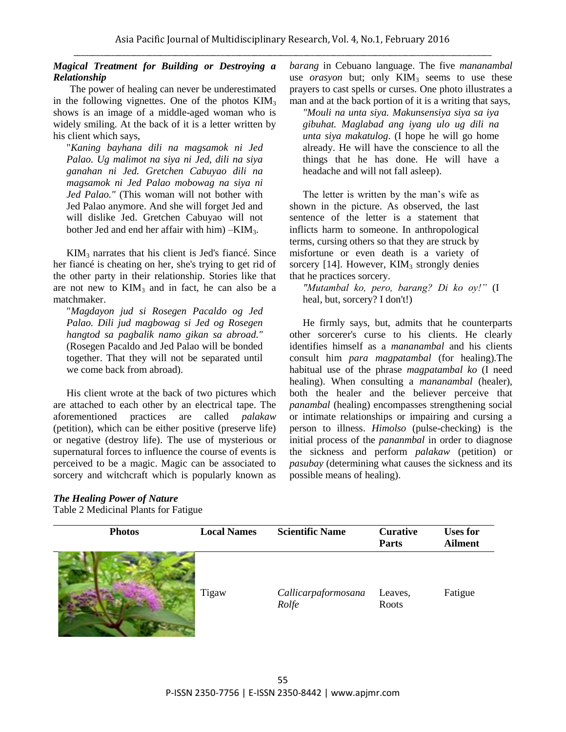# *Magical Treatment for Building or Destroying a Relationship*

The power of healing can never be underestimated in the following vignettes. One of the photos  $KMM<sub>3</sub>$ shows is an image of a middle-aged woman who is widely smiling. At the back of it is a letter written by his client which says,

"*Kaning bayhana dili na magsamok ni Jed Palao. Ug malimot na siya ni Jed, dili na siya ganahan ni Jed. Gretchen Cabuyao dili na magsamok ni Jed Palao mobowag na siya ni Jed Palao."* (This woman will not bother with Jed Palao anymore. And she will forget Jed and will dislike Jed. Gretchen Cabuyao will not bother Jed and end her affair with him) –KIM3.

 $KIM<sub>3</sub>$  narrates that his client is Jed's fiance. Since her fiancé is cheating on her, she's trying to get rid of the other party in their relationship. Stories like that are not new to  $KIM_3$  and in fact, he can also be a matchmaker.

"*Magdayon jud si Rosegen Pacaldo og Jed Palao. Dili jud magbowag si Jed og Rosegen hangtod sa pagbalik namo gikan sa abroad."* (Rosegen Pacaldo and Jed Palao will be bonded together. That they will not be separated until we come back from abroad).

His client wrote at the back of two pictures which are attached to each other by an electrical tape. The aforementioned practices are called *palakaw* (petition), which can be either positive (preserve life) or negative (destroy life). The use of mysterious or supernatural forces to influence the course of events is perceived to be a magic. Magic can be associated to sorcery and witchcraft which is popularly known as *barang* in Cebuano language. The five *mananambal* use *orasyon* but; only  $KIM_3$  seems to use these prayers to cast spells or curses. One photo illustrates a man and at the back portion of it is a writing that says,

*"Mouli na unta siya. Makunsensiya siya sa iya gibuhat. Maglabad ang iyang ulo ug dili na unta siya makatulog*. (I hope he will go home already. He will have the conscience to all the things that he has done. He will have a headache and will not fall asleep).

The letter is written by the man"s wife as shown in the picture. As observed, the last sentence of the letter is a statement that inflicts harm to someone. In anthropological terms, cursing others so that they are struck by misfortune or even death is a variety of sorcery  $[14]$ . However, KIM<sub>3</sub> strongly denies that he practices sorcery.

*"Mutambal ko, pero, barang? Di ko oy!"* (I heal, but, sorcery? I don't!)

He firmly says, but, admits that he counterparts other sorcerer's curse to his clients. He clearly identifies himself as a *mananambal* and his clients consult him *para magpatambal* (for healing)*.*The habitual use of the phrase *magpatambal ko* (I need healing). When consulting a *mananambal* (healer), both the healer and the believer perceive that *panambal* (healing) encompasses strengthening social or intimate relationships or impairing and cursing a person to illness. *Himolso* (pulse-checking) is the initial process of the *pananmbal* in order to diagnose the sickness and perform *palakaw* (petition) or *pasubay* (determining what causes the sickness and its possible means of healing).

# *The Healing Power of Nature*

Table 2 Medicinal Plants for Fatigue

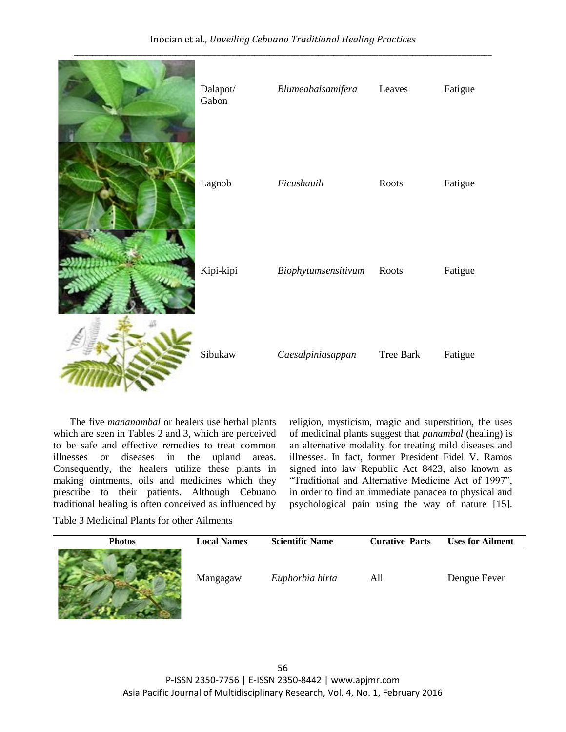

The five *mananambal* or healers use herbal plants which are seen in Tables 2 and 3, which are perceived to be safe and effective remedies to treat common illnesses or diseases in the upland areas. Consequently, the healers utilize these plants in making ointments, oils and medicines which they prescribe to their patients. Although Cebuano traditional healing is often conceived as influenced by religion, mysticism, magic and superstition, the uses of medicinal plants suggest that *panambal* (healing) is an alternative modality for treating mild diseases and illnesses. In fact, former President Fidel V. Ramos signed into law Republic Act 8423, also known as "Traditional and Alternative Medicine Act of 1997", in order to find an immediate panacea to physical and psychological pain using the way of nature [15].

Table 3 Medicinal Plants for other Ailments

| <b>Photos</b> | <b>Local Names</b> | <b>Scientific Name</b> | <b>Curative Parts</b> | <b>Uses for Ailment</b> |
|---------------|--------------------|------------------------|-----------------------|-------------------------|
|               | Mangagaw           | Euphorbia hirta        | All                   | Dengue Fever            |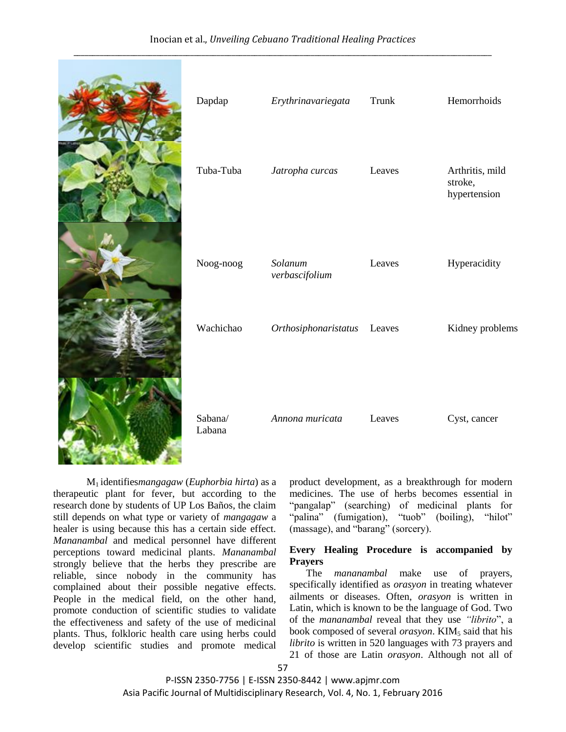# Inocian et al., *Unveiling Cebuano Traditional Healing Practices*



M1 identifies*mangagaw* (*Euphorbia hirta*) as a therapeutic plant for fever, but according to the research done by students of UP Los Baños, the claim still depends on what type or variety of *mangagaw* a healer is using because this has a certain side effect. *Mananambal* and medical personnel have different perceptions toward medicinal plants. *Mananambal* strongly believe that the herbs they prescribe are reliable, since nobody in the community has complained about their possible negative effects. People in the medical field, on the other hand, promote conduction of scientific studies to validate the effectiveness and safety of the use of medicinal plants. Thus, folkloric health care using herbs could develop scientific studies and promote medical

product development, as a breakthrough for modern medicines. The use of herbs becomes essential in "pangalap" (searching) of medicinal plants for "palina" (fumigation), "tuob" (boiling), "hilot" (massage), and "barang" (sorcery).

stroke, hypertension

Leaves Hyperacidity

# **Every Healing Procedure is accompanied by Prayers**

The *mananambal* make use of prayers, specifically identified as *orasyon* in treating whatever ailments or diseases. Often, *orasyon* is written in Latin, which is known to be the language of God. Two of the *mananambal* reveal that they use *"librito*", a book composed of several *orasyon*. KIM<sub>5</sub> said that his *librito* is written in 520 languages with 73 prayers and 21 of those are Latin *orasyon*. Although not all of

P-ISSN 2350-7756 | E-ISSN 2350-8442 | www.apjmr.com Asia Pacific Journal of Multidisciplinary Research, Vol. 4, No. 1, February 2016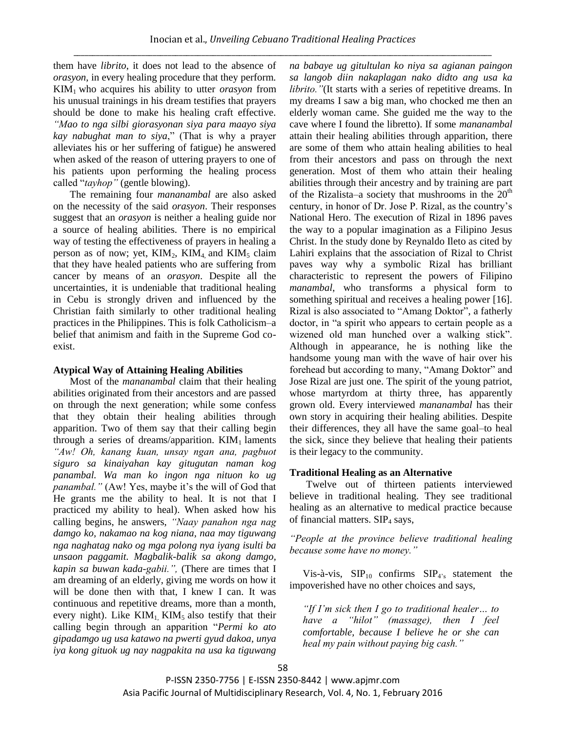them have *librito*, it does not lead to the absence of *orasyon*, in every healing procedure that they perform. KIM1 who acquires his ability to utter *orasyon* from his unusual trainings in his dream testifies that prayers should be done to make his healing craft effective. *"Mao to nga silbi giorasyonan siya para maayo siya kay nabughat man to siya*," (That is why a prayer alleviates his or her suffering of fatigue) he answered when asked of the reason of uttering prayers to one of his patients upon performing the healing process called "*tayhop"* (gentle blowing).

The remaining four *mananambal* are also asked on the necessity of the said *orasyon*. Their responses suggest that an *orasyon* is neither a healing guide nor a source of healing abilities. There is no empirical way of testing the effectiveness of prayers in healing a person as of now; yet,  $KIM<sub>2</sub>$ ,  $KIM<sub>4</sub>$  and  $KIM<sub>5</sub>$  claim that they have healed patients who are suffering from cancer by means of an *orasyon*. Despite all the uncertainties, it is undeniable that traditional healing in Cebu is strongly driven and influenced by the Christian faith similarly to other traditional healing practices in the Philippines. This is folk Catholicism–a belief that animism and faith in the Supreme God coexist.

## **Atypical Way of Attaining Healing Abilities**

Most of the *mananambal* claim that their healing abilities originated from their ancestors and are passed on through the next generation; while some confess that they obtain their healing abilities through apparition. Two of them say that their calling begin through a series of dreams/apparition.  $KIM<sub>1</sub>$  laments *"Aw! Oh, kanang kuan, unsay ngan ana, pagbuot siguro sa kinaiyahan kay gitugutan naman kog panambal. Wa man ko ingon nga nituon ko ug panambal.*" (Aw! Yes, maybe it's the will of God that He grants me the ability to heal. It is not that I practiced my ability to heal). When asked how his calling begins, he answers, *"Naay panahon nga nag damgo ko, nakamao na kog niana, naa may tiguwang nga naghatag nako og mga polong nya iyang isulti ba unsaon paggamit. Magbalik-balik sa akong damgo, kapin sa buwan kada-gabii.",* (There are times that I am dreaming of an elderly, giving me words on how it will be done then with that, I knew I can. It was continuous and repetitive dreams, more than a month, every night). Like  $KIM<sub>1</sub>$ ,  $KIM<sub>5</sub>$  also testify that their calling begin through an apparition "*Permi ko ato gipadamgo ug usa katawo na pwerti gyud dakoa, unya iya kong gituok ug nay nagpakita na usa ka tiguwang*  *na babaye ug gitultulan ko niya sa agianan paingon sa langob diin nakaplagan nako didto ang usa ka librito.* "(It starts with a series of repetitive dreams. In my dreams I saw a big man, who chocked me then an elderly woman came. She guided me the way to the cave where I found the libretto). If some *mananambal* attain their healing abilities through apparition, there are some of them who attain healing abilities to heal from their ancestors and pass on through the next generation. Most of them who attain their healing abilities through their ancestry and by training are part of the Rizalista–a society that mushrooms in the  $20<sup>th</sup>$ century, in honor of Dr. Jose P. Rizal, as the country"s National Hero. The execution of Rizal in 1896 paves the way to a popular imagination as a Filipino Jesus Christ. In the study done by Reynaldo Ileto as cited by Lahiri explains that the association of Rizal to Christ paves way why a symbolic Rizal has brilliant characteristic to represent the powers of Filipino *manambal*, who transforms a physical form to something spiritual and receives a healing power [16]. Rizal is also associated to "Amang Doktor", a fatherly doctor, in "a spirit who appears to certain people as a wizened old man hunched over a walking stick". Although in appearance, he is nothing like the handsome young man with the wave of hair over his forehead but according to many, "Amang Doktor" and Jose Rizal are just one. The spirit of the young patriot, whose martyrdom at thirty three, has apparently grown old. Every interviewed *mananambal* has their own story in acquiring their healing abilities. Despite their differences, they all have the same goal–to heal the sick, since they believe that healing their patients is their legacy to the community.

# **Traditional Healing as an Alternative**

Twelve out of thirteen patients interviewed believe in traditional healing. They see traditional healing as an alternative to medical practice because of financial matters.  $\text{SIP}_4$  says,

*"People at the province believe traditional healing because some have no money."*

Vis-à-vis,  $SIP_{10}$  confirms  $SIP_{4's}$  statement the impoverished have no other choices and says,

*"If I'm sick then I go to traditional healer… to have a "hilot" (massage), then I feel comfortable, because I believe he or she can heal my pain without paying big cash."*